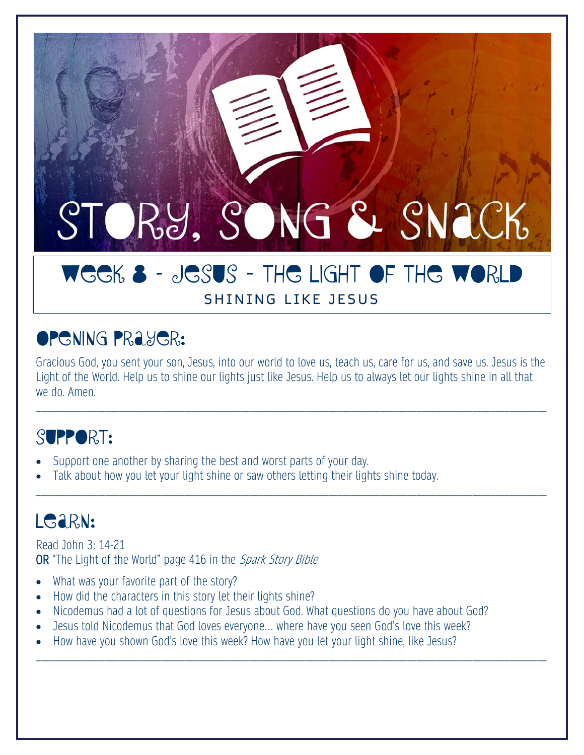# STORY, SONG & SNACK

## WEEK 8 - JESUS - THE LIGHT OF THE WORLD SHINING LIKE JESUS

## **OPENING PRAYER:**

Gracious God, you sent your son, Jesus, into our world to love us, teach us, care for us, and save us. Jesus is the Light of the World. Help us to shine our lights just like Jesus. Help us to always let our lights shine in all that we do. Amen.

\_\_\_\_\_\_\_\_\_\_\_\_\_\_\_\_\_\_\_\_\_\_\_\_\_\_\_\_\_\_\_\_\_\_\_\_\_\_\_\_\_\_\_\_\_\_\_\_\_\_\_\_\_\_\_\_\_\_\_\_\_\_\_\_\_\_\_\_\_\_\_\_\_\_\_\_\_\_\_\_\_\_\_\_\_\_\_\_\_\_\_\_\_\_\_\_\_\_\_\_\_\_\_\_\_\_\_\_\_\_

\_\_\_\_\_\_\_\_\_\_\_\_\_\_\_\_\_\_\_\_\_\_\_\_\_\_\_\_\_\_\_\_\_\_\_\_\_\_\_\_\_\_\_\_\_\_\_\_\_\_\_\_\_\_\_\_\_\_\_\_\_\_\_\_\_\_\_\_\_\_\_\_\_\_\_\_\_\_\_\_\_\_\_\_\_\_\_\_\_\_\_\_\_\_\_\_\_\_\_\_\_\_\_\_\_\_\_\_\_\_

\_\_\_\_\_\_\_\_\_\_\_\_\_\_\_\_\_\_\_\_\_\_\_\_\_\_\_\_\_\_\_\_\_\_\_\_\_\_\_\_\_\_\_\_\_\_\_\_\_\_\_\_\_\_\_\_\_\_\_\_\_\_\_\_\_\_\_\_\_\_\_\_\_\_\_\_\_\_\_\_\_\_\_\_\_\_\_\_\_\_\_\_\_\_\_\_\_\_\_\_\_\_\_\_\_\_\_\_\_\_

# SUPPORT:

- Support one another by sharing the best and worst parts of your day.
- Talk about how you let your light shine or saw others letting their lights shine today.

# LG<sub>aRN:</sub>

Read John 3: 14-21 OR "The Light of the World" page 416 in the Spark Story Bible

- What was your favorite part of the story?
- How did the characters in this story let their lights shine?
- Nicodemus had a lot of questions for Jesus about God. What questions do you have about God?
- Jesus told Nicodemus that God loves everyone… where have you seen God's love this week?
- How have you shown God's love this week? How have you let your light shine, like Jesus?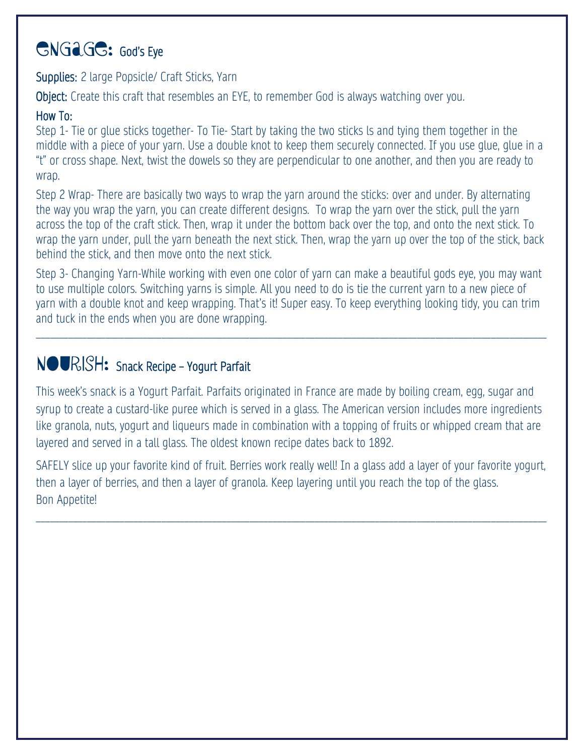## GNGAGG: God's Eye

Supplies: 2 large Popsicle/ Craft Sticks, Yarn

Object: Create this craft that resembles an EYE, to remember God is always watching over you.

#### How To:

Step 1- Tie or glue sticks together- To Tie- Start by taking the two sticks ls and tying them together in the middle with a piece of your yarn. Use a double knot to keep them securely connected. If you use glue, glue in a "t" or cross shape. Next, twist the dowels so they are perpendicular to one another, and then you are ready to wrap.

Step 2 Wrap- There are basically two ways to wrap the yarn around the sticks: over and under. By alternating the way you wrap the yarn, you can create different designs. To wrap the yarn over the stick, pull the yarn across the top of the craft stick. Then, wrap it under the bottom back over the top, and onto the next stick. To wrap the yarn under, pull the yarn beneath the next stick. Then, wrap the yarn up over the top of the stick, back behind the stick, and then move onto the next stick.

Step 3- Changing Yarn-While working with even one color of yarn can make a beautiful gods eye, you may want to use multiple colors. Switching yarns is simple. All you need to do is tie the current yarn to a new piece of yarn with a double knot and keep wrapping. That's it! Super easy. To keep everything looking tidy, you can trim and tuck in the ends when you are done wrapping.

\_\_\_\_\_\_\_\_\_\_\_\_\_\_\_\_\_\_\_\_\_\_\_\_\_\_\_\_\_\_\_\_\_\_\_\_\_\_\_\_\_\_\_\_\_\_\_\_\_\_\_\_\_\_\_\_\_\_\_\_\_\_\_\_\_\_\_\_\_\_\_\_\_\_\_\_\_\_\_\_\_\_\_\_\_\_\_\_\_\_\_\_\_\_\_\_\_\_\_\_\_\_\_\_\_\_\_\_\_\_

### NOURISH: Snack Recipe – Yogurt Parfait

This week's snack is a Yogurt Parfait. Parfaits originated in France are made by boiling cream, egg, sugar and syrup to create a custard-like puree which is served in a glass. The American version includes more ingredients like granola, nuts, yogurt and liqueurs made in combination with a topping of fruits or whipped cream that are layered and served in a tall glass. The oldest known recipe dates back to 1892.

SAFELY slice up your favorite kind of fruit. Berries work really well! In a glass add a layer of your favorite yogurt, then a layer of berries, and then a layer of granola. Keep layering until you reach the top of the glass. Bon Appetite!

\_\_\_\_\_\_\_\_\_\_\_\_\_\_\_\_\_\_\_\_\_\_\_\_\_\_\_\_\_\_\_\_\_\_\_\_\_\_\_\_\_\_\_\_\_\_\_\_\_\_\_\_\_\_\_\_\_\_\_\_\_\_\_\_\_\_\_\_\_\_\_\_\_\_\_\_\_\_\_\_\_\_\_\_\_\_\_\_\_\_\_\_\_\_\_\_\_\_\_\_\_\_\_\_\_\_\_\_\_\_